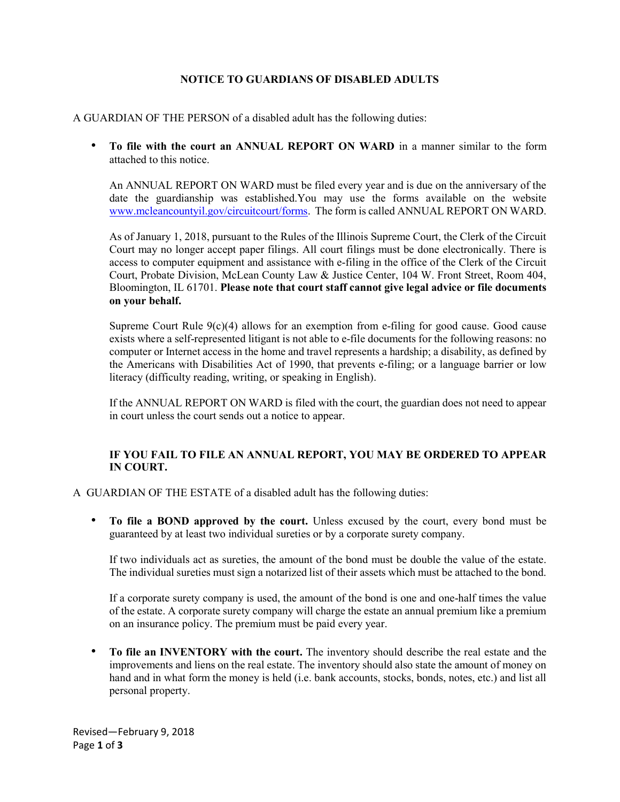## NOTICE TO GUARDIANS OF DISABLED ADULTS

## A GUARDIAN OF THE PERSON of a disabled adult has the following duties:

• To file with the court an ANNUAL REPORT ON WARD in a manner similar to the form attached to this notice.

An ANNUAL REPORT ON WARD must be filed every year and is due on the anniversary of the date the guardianship was established.You may use the forms available on the website www.mcleancountyil.gov/circuitcourt/forms. The form is called ANNUAL REPORT ON WARD.

As of January 1, 2018, pursuant to the Rules of the Illinois Supreme Court, the Clerk of the Circuit Court may no longer accept paper filings. All court filings must be done electronically. There is access to computer equipment and assistance with e-filing in the office of the Clerk of the Circuit Court, Probate Division, McLean County Law & Justice Center, 104 W. Front Street, Room 404, Bloomington, IL 61701. Please note that court staff cannot give legal advice or file documents on your behalf.

Supreme Court Rule  $9(c)(4)$  allows for an exemption from e-filing for good cause. Good cause exists where a self-represented litigant is not able to e-file documents for the following reasons: no computer or Internet access in the home and travel represents a hardship; a disability, as defined by the Americans with Disabilities Act of 1990, that prevents e-filing; or a language barrier or low literacy (difficulty reading, writing, or speaking in English).

If the ANNUAL REPORT ON WARD is filed with the court, the guardian does not need to appear in court unless the court sends out a notice to appear.

## IF YOU FAIL TO FILE AN ANNUAL REPORT, YOU MAY BE ORDERED TO APPEAR IN COURT.

A GUARDIAN OF THE ESTATE of a disabled adult has the following duties:

• To file a BOND approved by the court. Unless excused by the court, every bond must be guaranteed by at least two individual sureties or by a corporate surety company.

If two individuals act as sureties, the amount of the bond must be double the value of the estate. The individual sureties must sign a notarized list of their assets which must be attached to the bond.

If a corporate surety company is used, the amount of the bond is one and one-half times the value of the estate. A corporate surety company will charge the estate an annual premium like a premium on an insurance policy. The premium must be paid every year.

• To file an INVENTORY with the court. The inventory should describe the real estate and the improvements and liens on the real estate. The inventory should also state the amount of money on hand and in what form the money is held (i.e. bank accounts, stocks, bonds, notes, etc.) and list all personal property.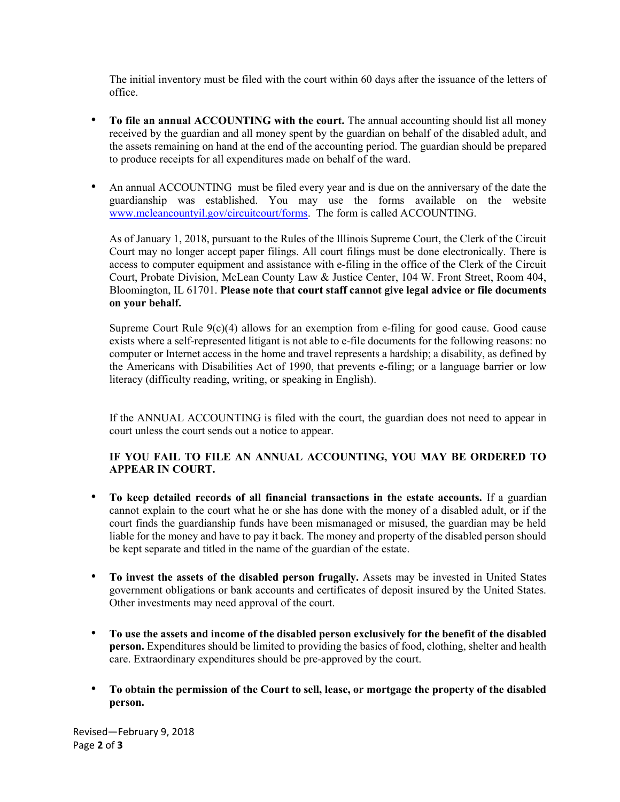The initial inventory must be filed with the court within 60 days after the issuance of the letters of office.

- To file an annual ACCOUNTING with the court. The annual accounting should list all money received by the guardian and all money spent by the guardian on behalf of the disabled adult, and the assets remaining on hand at the end of the accounting period. The guardian should be prepared to produce receipts for all expenditures made on behalf of the ward.
- An annual ACCOUNTING must be filed every year and is due on the anniversary of the date the guardianship was established. You may use the forms available on the website www.mcleancountyil.gov/circuitcourt/forms. The form is called ACCOUNTING.

As of January 1, 2018, pursuant to the Rules of the Illinois Supreme Court, the Clerk of the Circuit Court may no longer accept paper filings. All court filings must be done electronically. There is access to computer equipment and assistance with e-filing in the office of the Clerk of the Circuit Court, Probate Division, McLean County Law & Justice Center, 104 W. Front Street, Room 404, Bloomington, IL 61701. Please note that court staff cannot give legal advice or file documents on your behalf.

Supreme Court Rule  $9(c)(4)$  allows for an exemption from e-filing for good cause. Good cause exists where a self-represented litigant is not able to e-file documents for the following reasons: no computer or Internet access in the home and travel represents a hardship; a disability, as defined by the Americans with Disabilities Act of 1990, that prevents e-filing; or a language barrier or low literacy (difficulty reading, writing, or speaking in English).

If the ANNUAL ACCOUNTING is filed with the court, the guardian does not need to appear in court unless the court sends out a notice to appear.

## IF YOU FAIL TO FILE AN ANNUAL ACCOUNTING, YOU MAY BE ORDERED TO APPEAR IN COURT.

- To keep detailed records of all financial transactions in the estate accounts. If a guardian cannot explain to the court what he or she has done with the money of a disabled adult, or if the court finds the guardianship funds have been mismanaged or misused, the guardian may be held liable for the money and have to pay it back. The money and property of the disabled person should be kept separate and titled in the name of the guardian of the estate.
- To invest the assets of the disabled person frugally. Assets may be invested in United States government obligations or bank accounts and certificates of deposit insured by the United States. Other investments may need approval of the court.
- To use the assets and income of the disabled person exclusively for the benefit of the disabled person. Expenditures should be limited to providing the basics of food, clothing, shelter and health care. Extraordinary expenditures should be pre-approved by the court.
- To obtain the permission of the Court to sell, lease, or mortgage the property of the disabled person.

Revised—February 9, 2018 Page 2 of 3